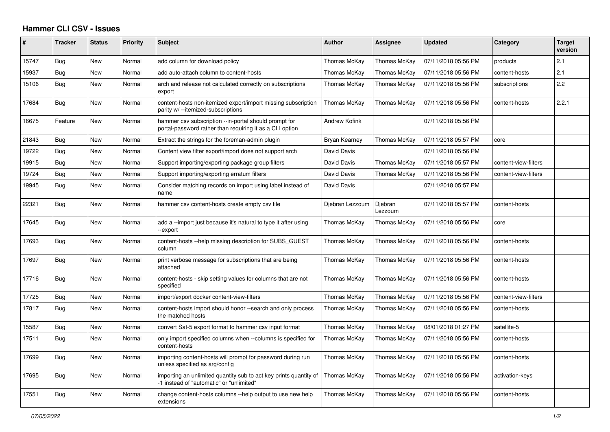## **Hammer CLI CSV - Issues**

| ∦     | <b>Tracker</b> | <b>Status</b> | Priority | <b>Subject</b>                                                                                                    | <b>Author</b>        | Assignee           | <b>Updated</b>      | Category             | <b>Target</b><br>version |
|-------|----------------|---------------|----------|-------------------------------------------------------------------------------------------------------------------|----------------------|--------------------|---------------------|----------------------|--------------------------|
| 15747 | Bug            | New           | Normal   | add column for download policy                                                                                    | Thomas McKay         | Thomas McKay       | 07/11/2018 05:56 PM | products             | 2.1                      |
| 15937 | Bug            | New           | Normal   | add auto-attach column to content-hosts                                                                           | Thomas McKay         | Thomas McKay       | 07/11/2018 05:56 PM | content-hosts        | 2.1                      |
| 15106 | Bug            | New           | Normal   | arch and release not calculated correctly on subscriptions<br>export                                              | Thomas McKay         | Thomas McKay       | 07/11/2018 05:56 PM | subscriptions        | 2.2                      |
| 17684 | Bug            | New           | Normal   | content-hosts non-itemized export/import missing subscription<br>parity w/ --itemized-subscriptions               | Thomas McKay         | Thomas McKay       | 07/11/2018 05:56 PM | content-hosts        | 2.2.1                    |
| 16675 | Feature        | <b>New</b>    | Normal   | hammer csv subscription --in-portal should prompt for<br>portal-password rather than requiring it as a CLI option | <b>Andrew Kofink</b> |                    | 07/11/2018 05:56 PM |                      |                          |
| 21843 | Bug            | New           | Normal   | Extract the strings for the foreman-admin plugin                                                                  | Bryan Kearney        | Thomas McKay       | 07/11/2018 05:57 PM | core                 |                          |
| 19722 | Bug            | New           | Normal   | Content view filter export/import does not support arch                                                           | David Davis          |                    | 07/11/2018 05:56 PM |                      |                          |
| 19915 | Bug            | New           | Normal   | Support importing/exporting package group filters                                                                 | David Davis          | Thomas McKay       | 07/11/2018 05:57 PM | content-view-filters |                          |
| 19724 | Bug            | New           | Normal   | Support importing/exporting erratum filters                                                                       | David Davis          | Thomas McKay       | 07/11/2018 05:56 PM | content-view-filters |                          |
| 19945 | Bug            | New           | Normal   | Consider matching records on import using label instead of<br>name                                                | David Davis          |                    | 07/11/2018 05:57 PM |                      |                          |
| 22321 | Bug            | New           | Normal   | hammer csv content-hosts create empty csv file                                                                    | Djebran Lezzoum      | Djebran<br>Lezzoum | 07/11/2018 05:57 PM | content-hosts        |                          |
| 17645 | <b>Bug</b>     | <b>New</b>    | Normal   | add a --import just because it's natural to type it after using<br>-export                                        | Thomas McKay         | Thomas McKay       | 07/11/2018 05:56 PM | core                 |                          |
| 17693 | Bug            | New           | Normal   | content-hosts --help missing description for SUBS_GUEST<br>column                                                 | Thomas McKay         | Thomas McKay       | 07/11/2018 05:56 PM | content-hosts        |                          |
| 17697 | Bug            | New           | Normal   | print verbose message for subscriptions that are being<br>attached                                                | Thomas McKay         | Thomas McKay       | 07/11/2018 05:56 PM | content-hosts        |                          |
| 17716 | Bug            | <b>New</b>    | Normal   | content-hosts - skip setting values for columns that are not<br>specified                                         | Thomas McKay         | Thomas McKay       | 07/11/2018 05:56 PM | content-hosts        |                          |
| 17725 | Bug            | <b>New</b>    | Normal   | import/export docker content-view-filters                                                                         | Thomas McKay         | Thomas McKay       | 07/11/2018 05:56 PM | content-view-filters |                          |
| 17817 | <b>Bug</b>     | <b>New</b>    | Normal   | content-hosts import should honor --search and only process<br>the matched hosts                                  | Thomas McKay         | Thomas McKay       | 07/11/2018 05:56 PM | content-hosts        |                          |
| 15587 | Bug            | New           | Normal   | convert Sat-5 export format to hammer csv input format                                                            | Thomas McKay         | Thomas McKay       | 08/01/2018 01:27 PM | satellite-5          |                          |
| 17511 | <b>Bug</b>     | New           | Normal   | only import specified columns when --columns is specified for<br>content-hosts                                    | Thomas McKay         | Thomas McKay       | 07/11/2018 05:56 PM | content-hosts        |                          |
| 17699 | Bug            | New           | Normal   | importing content-hosts will prompt for password during run<br>unless specified as arg/config                     | Thomas McKay         | Thomas McKay       | 07/11/2018 05:56 PM | content-hosts        |                          |
| 17695 | <b>Bug</b>     | <b>New</b>    | Normal   | importing an unlimited quantity sub to act key prints quantity of<br>-1 instead of "automatic" or "unlimited"     | Thomas McKay         | Thomas McKay       | 07/11/2018 05:56 PM | activation-keys      |                          |
| 17551 | Bug            | New           | Normal   | change content-hosts columns --help output to use new help<br>extensions                                          | Thomas McKay         | Thomas McKay       | 07/11/2018 05:56 PM | content-hosts        |                          |